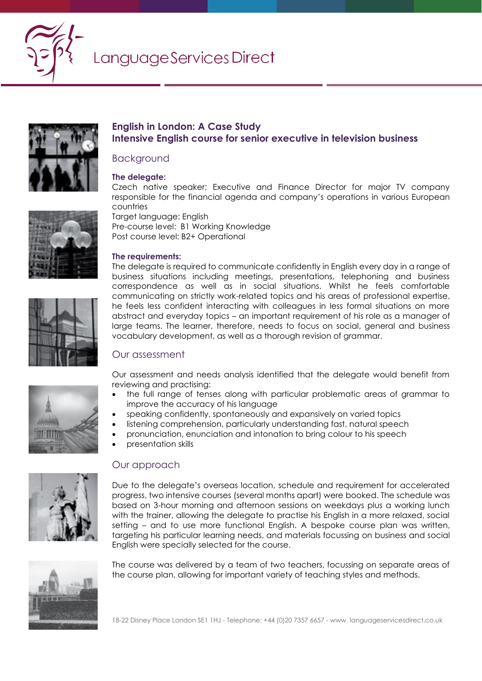



## **English in London: A Case Study Intensive English course for senior executive in television business**

#### Background

#### **The delegate:**

Target language: English

**The requirements:** 

Pre-course level: B1 Working Knowledge Post course level: B2+ Operational

Czech native speaker; Executive and Finance Director for major TV company responsible for the financial agenda and company's operations in various European countries



The delegate is required to communicate confidently in English every day in a range of business situations including meetings, presentations, telephoning and business correspondence as well as in social situations. Whilst he feels comfortable communicating on strictly work-related topics and his areas of professional expertise, he feels less confident interacting with colleagues in less formal situations on more abstract and everyday topics – an important requirement of his role as a manager of large teams. The learner, therefore, needs to focus on social, general and business vocabulary development, as well as a thorough revision of grammar.

# Our assessment

Our assessment and needs analysis identified that the delegate would benefit from reviewing and practising:

- the full range of tenses along with particular problematic areas of grammar to improve the accuracy of his language
- speaking confidently, spontaneously and expansively on varied topics
- listening comprehension, particularly understanding fast, natural speech
- pronunciation, enunciation and intonation to bring colour to his speech
- presentation skills



# Our approach

Due to the delegate's overseas location, schedule and requirement for accelerated progress, two intensive courses (several months apart) were booked. The schedule was based on 3-hour morning and afternoon sessions on weekdays plus a working lunch with the trainer, allowing the delegate to practise his English in a more relaxed, social setting – and to use more functional English. A bespoke course plan was written, targeting his particular learning needs, and materials focussing on business and social English were specially selected for the course.



The course was delivered by a team of two teachers, focussing on separate areas of the course plan, allowing for important variety of teaching styles and methods.